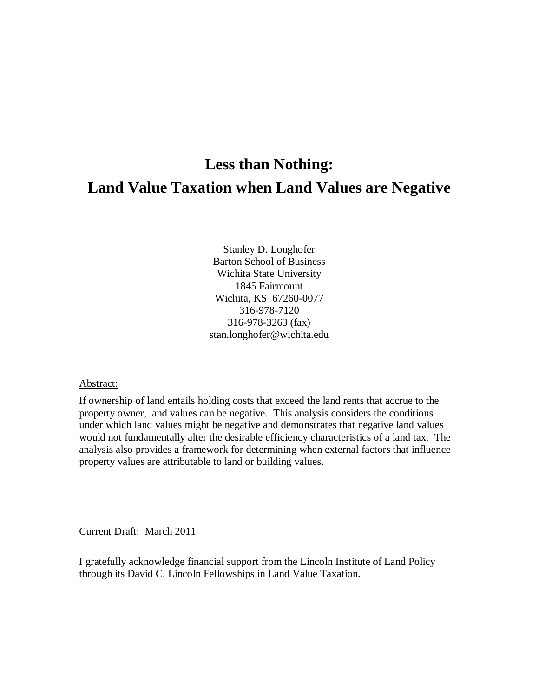# **Less than Nothing: Land Value Taxation when Land Values are Negative**

Stanley D. Longhofer Barton School of Business Wichita State University 1845 Fairmount Wichita, KS 67260-0077 316-978-7120 316-978-3263 (fax) stan.longhofer@wichita.edu

### Abstract:

If ownership of land entails holding costs that exceed the land rents that accrue to the property owner, land values can be negative. This analysis considers the conditions under which land values might be negative and demonstrates that negative land values would not fundamentally alter the desirable efficiency characteristics of a land tax. The analysis also provides a framework for determining when external factors that influence property values are attributable to land or building values.

Current Draft: March 2011

I gratefully acknowledge financial support from the Lincoln Institute of Land Policy through its David C. Lincoln Fellowships in Land Value Taxation.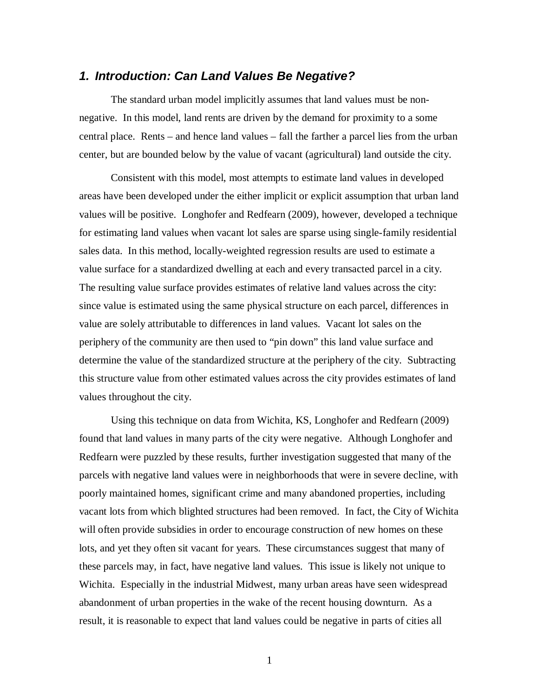### *1. Introduction: Can Land Values Be Negative?*

The standard urban model implicitly assumes that land values must be nonnegative. In this model, land rents are driven by the demand for proximity to a some central place. Rents – and hence land values – fall the farther a parcel lies from the urban center, but are bounded below by the value of vacant (agricultural) land outside the city.

Consistent with this model, most attempts to estimate land values in developed areas have been developed under the either implicit or explicit assumption that urban land values will be positive. Longhofer and Redfearn (2009), however, developed a technique for estimating land values when vacant lot sales are sparse using single-family residential sales data. In this method, locally-weighted regression results are used to estimate a value surface for a standardized dwelling at each and every transacted parcel in a city. The resulting value surface provides estimates of relative land values across the city: since value is estimated using the same physical structure on each parcel, differences in value are solely attributable to differences in land values. Vacant lot sales on the periphery of the community are then used to "pin down" this land value surface and determine the value of the standardized structure at the periphery of the city. Subtracting this structure value from other estimated values across the city provides estimates of land values throughout the city.

Using this technique on data from Wichita, KS, Longhofer and Redfearn (2009) found that land values in many parts of the city were negative. Although Longhofer and Redfearn were puzzled by these results, further investigation suggested that many of the parcels with negative land values were in neighborhoods that were in severe decline, with poorly maintained homes, significant crime and many abandoned properties, including vacant lots from which blighted structures had been removed. In fact, the City of Wichita will often provide subsidies in order to encourage construction of new homes on these lots, and yet they often sit vacant for years. These circumstances suggest that many of these parcels may, in fact, have negative land values. This issue is likely not unique to Wichita. Especially in the industrial Midwest, many urban areas have seen widespread abandonment of urban properties in the wake of the recent housing downturn. As a result, it is reasonable to expect that land values could be negative in parts of cities all

1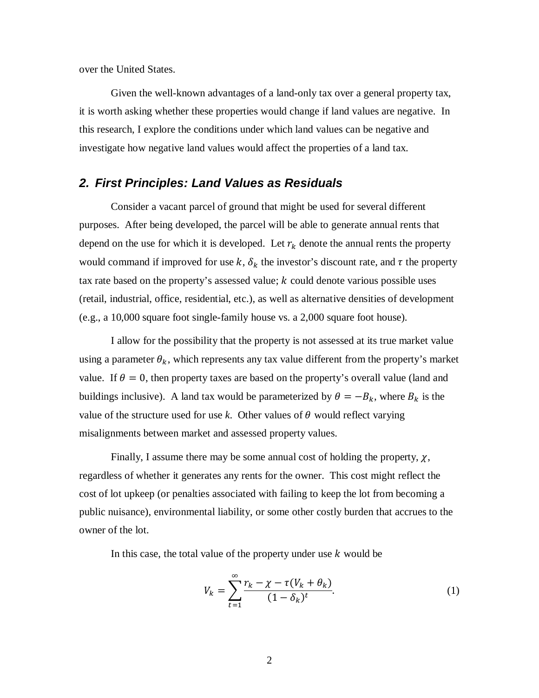over the United States.

Given the well-known advantages of a land-only tax over a general property tax, it is worth asking whether these properties would change if land values are negative. In this research, I explore the conditions under which land values can be negative and investigate how negative land values would affect the properties of a land tax.

### *2. First Principles: Land Values as Residuals*

Consider a vacant parcel of ground that might be used for several different purposes. After being developed, the parcel will be able to generate annual rents that depend on the use for which it is developed. Let  $r_k$  denote the annual rents the property would command if improved for use  $k$ ,  $\delta_k$  the investor's discount rate, and  $\tau$  the property tax rate based on the property's assessed value;  $k$  could denote various possible uses (retail, industrial, office, residential, etc.), as well as alternative densities of development (e.g., a 10,000 square foot single-family house vs. a 2,000 square foot house).

I allow for the possibility that the property is not assessed at its true market value using a parameter  $\theta_k$ , which represents any tax value different from the property's market value. If  $\theta = 0$ , then property taxes are based on the property's overall value (land and buildings inclusive). A land tax would be parameterized by  $\theta = -B_k$ , where  $B_k$  is the value of the structure used for use  $k$ . Other values of  $\theta$  would reflect varying misalignments between market and assessed property values.

Finally, I assume there may be some annual cost of holding the property,  $\chi$ , regardless of whether it generates any rents for the owner. This cost might reflect the cost of lot upkeep (or penalties associated with failing to keep the lot from becoming a public nuisance), environmental liability, or some other costly burden that accrues to the owner of the lot.

In this case, the total value of the property under use  $k$  would be

<span id="page-2-0"></span>
$$
V_k = \sum_{t=1}^{\infty} \frac{r_k - \chi - \tau (V_k + \theta_k)}{(1 - \delta_k)^t}.
$$
 (1)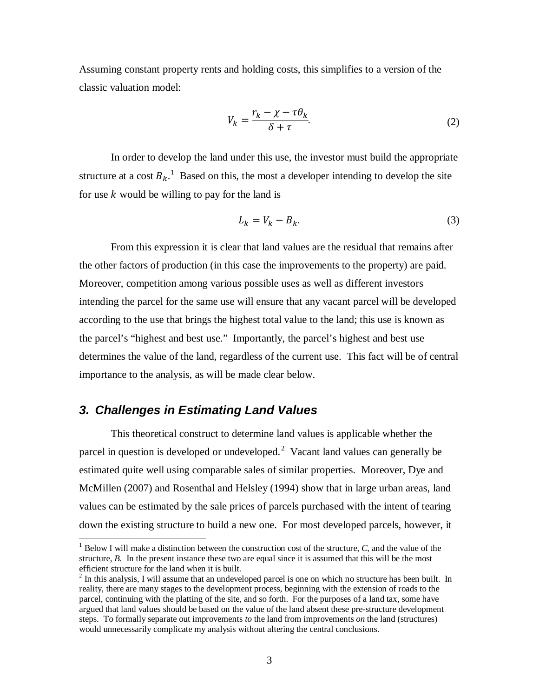Assuming constant property rents and holding costs, this simplifies to a version of the classic valuation model:

<span id="page-3-3"></span>
$$
V_k = \frac{r_k - \chi - \tau \theta_k}{\delta + \tau}.
$$

In order to develop the land under this use, the investor must build the appropriate structure at a cost  $B_k$ .<sup>[1](#page-3-0)</sup> Based on this, the most a developer intending to develop the site for use  $k$  would be willing to pay for the land is

<span id="page-3-2"></span>
$$
L_k = V_k - B_k. \tag{3}
$$

From this expression it is clear that land values are the residual that remains after the other factors of production (in this case the improvements to the property) are paid. Moreover, competition among various possible uses as well as different investors intending the parcel for the same use will ensure that any vacant parcel will be developed according to the use that brings the highest total value to the land; this use is known as the parcel's "highest and best use." Importantly, the parcel's highest and best use determines the value of the land, regardless of the current use. This fact will be of central importance to the analysis, as will be made clear below.

### *3. Challenges in Estimating Land Values*

This theoretical construct to determine land values is applicable whether the parcel in question is developed or undeveloped. $2$  Vacant land values can generally be estimated quite well using comparable sales of similar properties. Moreover, Dye and McMillen (2007) and Rosenthal and Helsley (1994) show that in large urban areas, land values can be estimated by the sale prices of parcels purchased with the intent of tearing down the existing structure to build a new one. For most developed parcels, however, it

<span id="page-3-0"></span> <sup>1</sup> Below I will make a distinction between the construction cost of the structure, *C*, and the value of the structure, *B*. In the present instance these two are equal since it is assumed that this will be the most efficient structure for the land when it is built.

<span id="page-3-1"></span><sup>&</sup>lt;sup>2</sup> In this analysis, I will assume that an undeveloped parcel is one on which no structure has been built. In reality, there are many stages to the development process, beginning with the extension of roads to the parcel, continuing with the platting of the site, and so forth. For the purposes of a land tax, some have argued that land values should be based on the value of the land absent these pre-structure development steps. To formally separate out improvements *to* the land from improvements *on* the land (structures) would unnecessarily complicate my analysis without altering the central conclusions.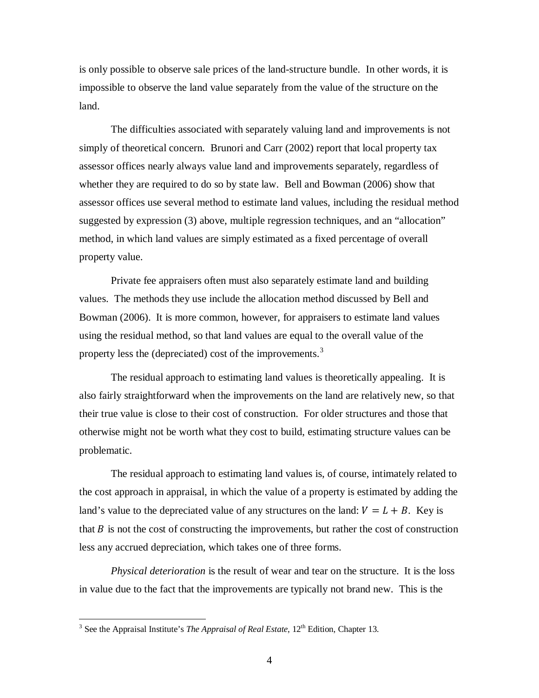is only possible to observe sale prices of the land-structure bundle. In other words, it is impossible to observe the land value separately from the value of the structure on the land.

The difficulties associated with separately valuing land and improvements is not simply of theoretical concern. Brunori and Carr (2002) report that local property tax assessor offices nearly always value land and improvements separately, regardless of whether they are required to do so by state law. Bell and Bowman (2006) show that assessor offices use several method to estimate land values, including the residual method suggested by expression [\(3\)](#page-3-2) above, multiple regression techniques, and an "allocation" method, in which land values are simply estimated as a fixed percentage of overall property value.

Private fee appraisers often must also separately estimate land and building values. The methods they use include the allocation method discussed by Bell and Bowman (2006). It is more common, however, for appraisers to estimate land values using the residual method, so that land values are equal to the overall value of the property less the (depreciated) cost of the improvements.<sup>[3](#page-4-0)</sup>

The residual approach to estimating land values is theoretically appealing. It is also fairly straightforward when the improvements on the land are relatively new, so that their true value is close to their cost of construction. For older structures and those that otherwise might not be worth what they cost to build, estimating structure values can be problematic.

The residual approach to estimating land values is, of course, intimately related to the cost approach in appraisal, in which the value of a property is estimated by adding the land's value to the depreciated value of any structures on the land:  $V = L + B$ . Key is that  $B$  is not the cost of constructing the improvements, but rather the cost of construction less any accrued depreciation, which takes one of three forms.

*Physical deterioration* is the result of wear and tear on the structure. It is the loss in value due to the fact that the improvements are typically not brand new. This is the

<span id="page-4-0"></span> $3$  See the Appraisal Institute's *The Appraisal of Real Estate*, 12<sup>th</sup> Edition, Chapter 13.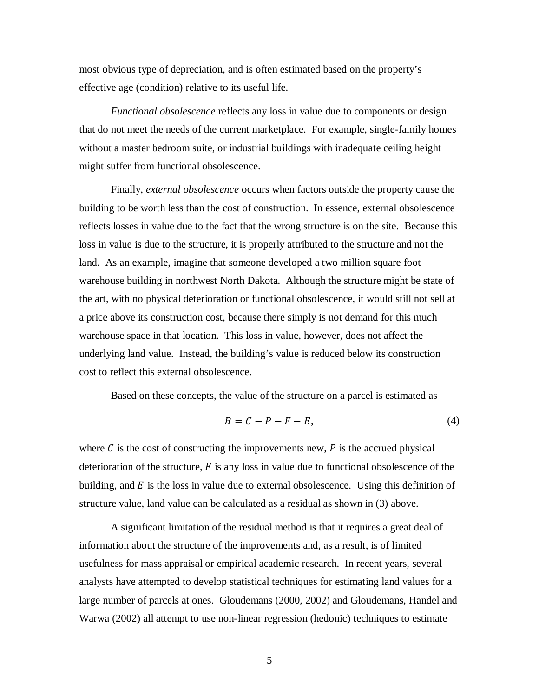most obvious type of depreciation, and is often estimated based on the property's effective age (condition) relative to its useful life.

*Functional obsolescence* reflects any loss in value due to components or design that do not meet the needs of the current marketplace. For example, single-family homes without a master bedroom suite, or industrial buildings with inadequate ceiling height might suffer from functional obsolescence.

Finally, *external obsolescence* occurs when factors outside the property cause the building to be worth less than the cost of construction. In essence, external obsolescence reflects losses in value due to the fact that the wrong structure is on the site. Because this loss in value is due to the structure, it is properly attributed to the structure and not the land. As an example, imagine that someone developed a two million square foot warehouse building in northwest North Dakota. Although the structure might be state of the art, with no physical deterioration or functional obsolescence, it would still not sell at a price above its construction cost, because there simply is not demand for this much warehouse space in that location. This loss in value, however, does not affect the underlying land value. Instead, the building's value is reduced below its construction cost to reflect this external obsolescence.

Based on these concepts, the value of the structure on a parcel is estimated as

$$
B = C - P - F - E,\tag{4}
$$

where  $C$  is the cost of constructing the improvements new,  $P$  is the accrued physical deterioration of the structure,  $F$  is any loss in value due to functional obsolescence of the building, and  $E$  is the loss in value due to external obsolescence. Using this definition of structure value, land value can be calculated as a residual as shown in [\(3\)](#page-3-2) above.

A significant limitation of the residual method is that it requires a great deal of information about the structure of the improvements and, as a result, is of limited usefulness for mass appraisal or empirical academic research. In recent years, several analysts have attempted to develop statistical techniques for estimating land values for a large number of parcels at ones. Gloudemans (2000, 2002) and Gloudemans, Handel and Warwa (2002) all attempt to use non-linear regression (hedonic) techniques to estimate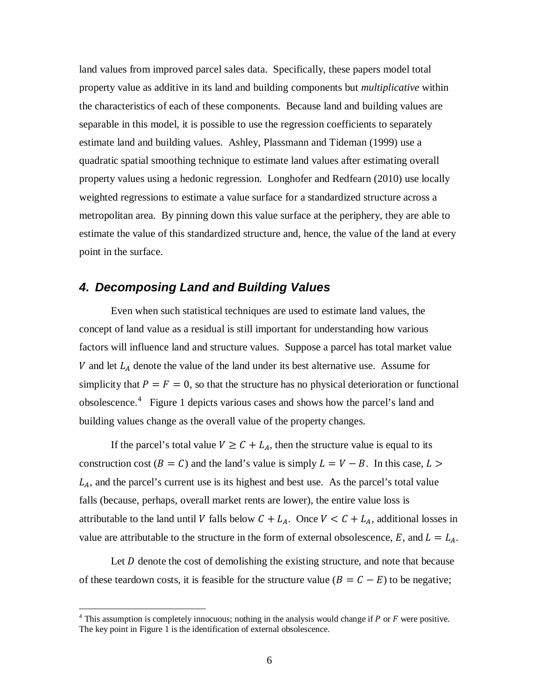land values from improved parcel sales data. Specifically, these papers model total property value as additive in its land and building components but *multiplicative* within the characteristics of each of these components. Because land and building values are separable in this model, it is possible to use the regression coefficients to separately estimate land and building values. Ashley, Plassmann and Tideman (1999) use a quadratic spatial smoothing technique to estimate land values after estimating overall property values using a hedonic regression. Longhofer and Redfearn (2010) use locally weighted regressions to estimate a value surface for a standardized structure across a metropolitan area. By pinning down this value surface at the periphery, they are able to estimate the value of this standardized structure and, hence, the value of the land at every point in the surface.

### *4. Decomposing Land and Building Values*

Even when such statistical techniques are used to estimate land values, the concept of land value as a residual is still important for understanding how various factors will influence land and structure values. Suppose a parcel has total market value V and let  $L<sub>A</sub>$  denote the value of the land under its best alternative use. Assume for simplicity that  $P = F = 0$ , so that the structure has no physical deterioration or functional obsolescence.[4](#page-6-0) Figure 1 depicts various cases and shows how the parcel's land and building values change as the overall value of the property changes.

If the parcel's total value  $V \geq C + L_A$ , then the structure value is equal to its construction cost ( $B = C$ ) and the land's value is simply  $L = V - B$ . In this case,  $L >$  $L_A$ , and the parcel's current use is its highest and best use. As the parcel's total value falls (because, perhaps, overall market rents are lower), the entire value loss is attributable to the land until V falls below  $C + L_A$ . Once  $V \le C + L_A$ , additional losses in value are attributable to the structure in the form of external obsolescence, E, and  $L = L<sub>A</sub>$ .

Let  $D$  denote the cost of demolishing the existing structure, and note that because of these teardown costs, it is feasible for the structure value ( $B = C - E$ ) to be negative;

<span id="page-6-0"></span> $4$  This assumption is completely innocuous; nothing in the analysis would change if P or F were positive. The key point in Figure 1 is the identification of external obsolescence.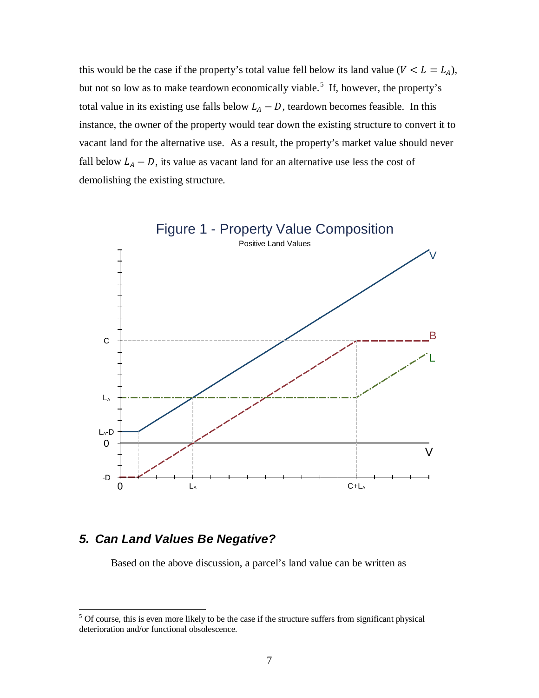this would be the case if the property's total value fell below its land value ( $V < L = L_A$ ), but not so low as to make teardown economically viable.<sup>[5](#page-7-0)</sup> If, however, the property's total value in its existing use falls below  $L_A - D$ , teardown becomes feasible. In this instance, the owner of the property would tear down the existing structure to convert it to vacant land for the alternative use. As a result, the property's market value should never fall below  $L_A - D$ , its value as vacant land for an alternative use less the cost of demolishing the existing structure.



# *5. Can Land Values Be Negative?*

Based on the above discussion, a parcel's land value can be written as

<span id="page-7-0"></span><sup>&</sup>lt;sup>5</sup> Of course, this is even more likely to be the case if the structure suffers from significant physical deterioration and/or functional obsolescence.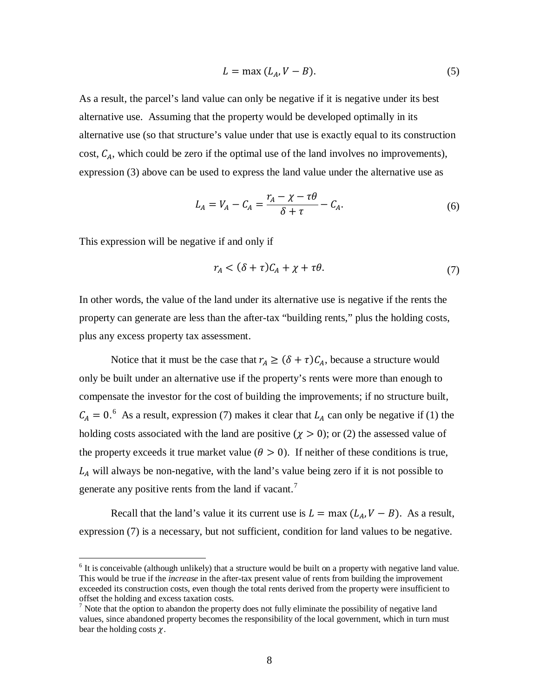$$
L = \max (L_A, V - B). \tag{5}
$$

As a result, the parcel's land value can only be negative if it is negative under its best alternative use. Assuming that the property would be developed optimally in its alternative use (so that structure's value under that use is exactly equal to its construction cost,  $C_A$ , which could be zero if the optimal use of the land involves no improvements), expression [\(3\)](#page-3-2) above can be used to express the land value under the alternative use as

$$
L_A = V_A - C_A = \frac{r_A - \chi - \tau \theta}{\delta + \tau} - C_A.
$$
\n<sup>(6)</sup>

This expression will be negative if and only if

<span id="page-8-3"></span><span id="page-8-0"></span>
$$
r_A < (\delta + \tau)C_A + \chi + \tau \theta. \tag{7}
$$

In other words, the value of the land under its alternative use is negative if the rents the property can generate are less than the after-tax "building rents," plus the holding costs, plus any excess property tax assessment.

Notice that it must be the case that  $r_A \geq (\delta + \tau)C_A$ , because a structure would only be built under an alternative use if the property's rents were more than enough to compensate the investor for the cost of building the improvements; if no structure built,  $C_A = 0.^6$  $C_A = 0.^6$  As a result, expression (7) makes it clear that  $L_A$  can only be negative if (1) the holding costs associated with the land are positive ( $\chi > 0$ ); or (2) the assessed value of the property exceeds it true market value ( $\theta > 0$ ). If neither of these conditions is true,  $L<sub>A</sub>$  will always be non-negative, with the land's value being zero if it is not possible to generate any positive rents from the land if vacant.<sup>[7](#page-8-2)</sup>

Recall that the land's value it its current use is  $L = \max (L_A, V - B)$ . As a result, expression [\(7\)](#page-8-0) is a necessary, but not sufficient, condition for land values to be negative.

<span id="page-8-1"></span> $<sup>6</sup>$  It is conceivable (although unlikely) that a structure would be built on a property with negative land value.</sup> This would be true if the *increase* in the after-tax present value of rents from building the improvement exceeded its construction costs, even though the total rents derived from the property were insufficient to offset the holding and excess taxation costs.

<span id="page-8-2"></span> $<sup>7</sup>$  Note that the option to abandon the property does not fully eliminate the possibility of negative land</sup> values, since abandoned property becomes the responsibility of the local government, which in turn must bear the holding costs  $\chi$ .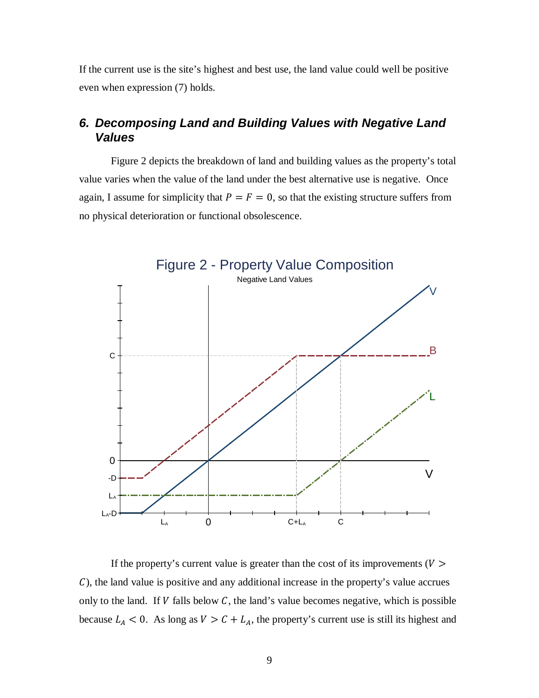If the current use is the site's highest and best use, the land value could well be positive even when expression [\(7\)](#page-8-0) holds.

# *6. Decomposing Land and Building Values with Negative Land Values*

Figure 2 depicts the breakdown of land and building values as the property's total value varies when the value of the land under the best alternative use is negative. Once again, I assume for simplicity that  $P = F = 0$ , so that the existing structure suffers from no physical deterioration or functional obsolescence.



If the property's current value is greater than the cost of its improvements ( $V >$ ), the land value is positive and any additional increase in the property's value accrues only to the land. If  $V$  falls below  $C$ , the land's value becomes negative, which is possible because  $L_A < 0$ . As long as  $V > C + L_A$ , the property's current use is still its highest and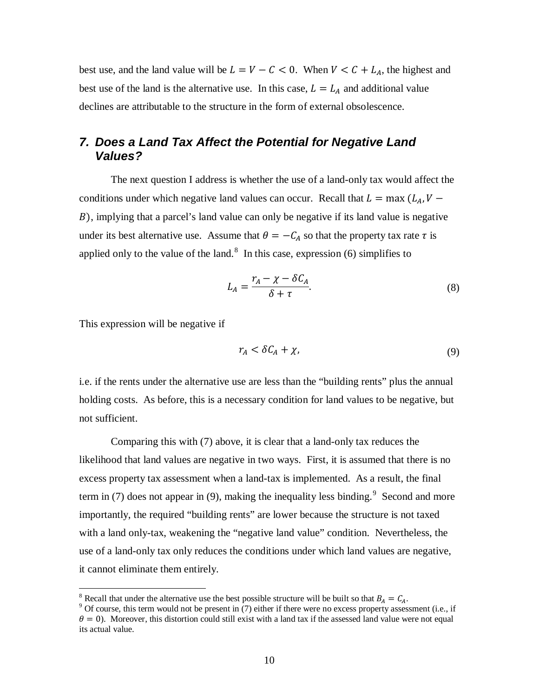best use, and the land value will be  $L = V - C < 0$ . When  $V < C + L_A$ , the highest and best use of the land is the alternative use. In this case,  $L = L_A$  and additional value declines are attributable to the structure in the form of external obsolescence.

# *7. Does a Land Tax Affect the Potential for Negative Land Values?*

The next question I address is whether the use of a land-only tax would affect the conditions under which negative land values can occur. Recall that  $L = \max (L_A, V -$ ), implying that a parcel's land value can only be negative if its land value is negative under its best alternative use. Assume that  $\theta = -C_A$  so that the property tax rate  $\tau$  is applied only to the value of the land.<sup>[8](#page-10-1)</sup> In this case, expression  $(6)$  simplifies to

$$
L_A = \frac{r_A - \chi - \delta C_A}{\delta + \tau}.
$$
\n(8)

This expression will be negative if

<span id="page-10-3"></span><span id="page-10-0"></span>
$$
r_A < \delta C_A + \chi,\tag{9}
$$

i.e. if the rents under the alternative use are less than the "building rents" plus the annual holding costs. As before, this is a necessary condition for land values to be negative, but not sufficient.

Comparing this with [\(7\)](#page-8-0) above, it is clear that a land-only tax reduces the likelihood that land values are negative in two ways. First, it is assumed that there is no excess property tax assessment when a land-tax is implemented. As a result, the final term in [\(7\)](#page-8-0) does not appear in [\(9\),](#page-10-0) making the inequality less binding.<sup>[9](#page-10-2)</sup> Second and more importantly, the required "building rents" are lower because the structure is not taxed with a land only-tax, weakening the "negative land value" condition. Nevertheless, the use of a land-only tax only reduces the conditions under which land values are negative, it cannot eliminate them entirely.

<span id="page-10-1"></span><sup>&</sup>lt;sup>8</sup> Recall that under the alternative use the best possible structure will be built so that  $B_A = C_A$ .

<span id="page-10-2"></span><sup>&</sup>lt;sup>9</sup> Of course, this term would not be present in [\(7\)](#page-8-0) either if there were no excess property assessment (i.e., if  $\theta = 0$ ). Moreover, this distortion could still exist with a land tax if the assessed land value were not equal its actual value.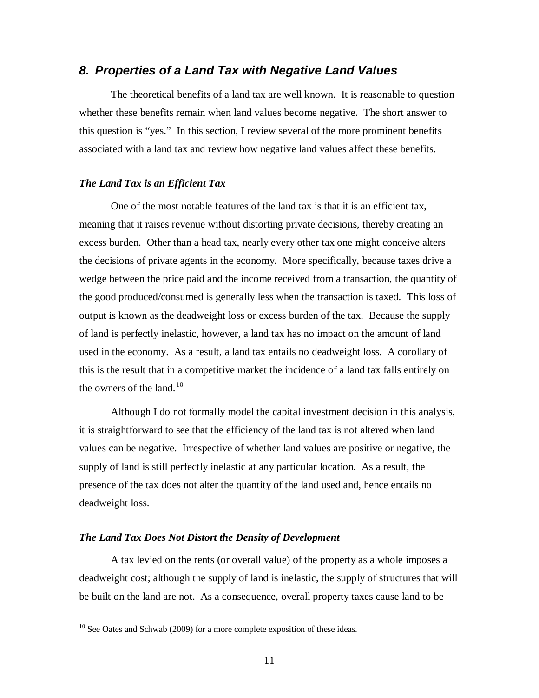### *8. Properties of a Land Tax with Negative Land Values*

The theoretical benefits of a land tax are well known. It is reasonable to question whether these benefits remain when land values become negative. The short answer to this question is "yes." In this section, I review several of the more prominent benefits associated with a land tax and review how negative land values affect these benefits.

#### *The Land Tax is an Efficient Tax*

One of the most notable features of the land tax is that it is an efficient tax, meaning that it raises revenue without distorting private decisions, thereby creating an excess burden. Other than a head tax, nearly every other tax one might conceive alters the decisions of private agents in the economy. More specifically, because taxes drive a wedge between the price paid and the income received from a transaction, the quantity of the good produced/consumed is generally less when the transaction is taxed. This loss of output is known as the deadweight loss or excess burden of the tax. Because the supply of land is perfectly inelastic, however, a land tax has no impact on the amount of land used in the economy. As a result, a land tax entails no deadweight loss. A corollary of this is the result that in a competitive market the incidence of a land tax falls entirely on the owners of the land. $10$ 

Although I do not formally model the capital investment decision in this analysis, it is straightforward to see that the efficiency of the land tax is not altered when land values can be negative. Irrespective of whether land values are positive or negative, the supply of land is still perfectly inelastic at any particular location. As a result, the presence of the tax does not alter the quantity of the land used and, hence entails no deadweight loss.

#### *The Land Tax Does Not Distort the Density of Development*

A tax levied on the rents (or overall value) of the property as a whole imposes a deadweight cost; although the supply of land is inelastic, the supply of structures that will be built on the land are not. As a consequence, overall property taxes cause land to be

<span id="page-11-0"></span> $10$  See Oates and Schwab (2009) for a more complete exposition of these ideas.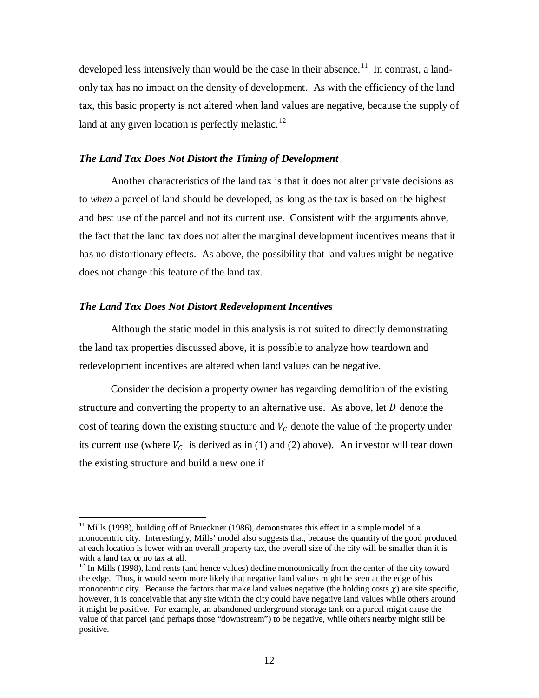developed less intensively than would be the case in their absence.<sup>[11](#page-12-0)</sup> In contrast, a landonly tax has no impact on the density of development. As with the efficiency of the land tax, this basic property is not altered when land values are negative, because the supply of land at any given location is perfectly inelastic. $^{12}$  $^{12}$  $^{12}$ 

#### *The Land Tax Does Not Distort the Timing of Development*

Another characteristics of the land tax is that it does not alter private decisions as to *when* a parcel of land should be developed, as long as the tax is based on the highest and best use of the parcel and not its current use. Consistent with the arguments above, the fact that the land tax does not alter the marginal development incentives means that it has no distortionary effects. As above, the possibility that land values might be negative does not change this feature of the land tax.

#### *The Land Tax Does Not Distort Redevelopment Incentives*

Although the static model in this analysis is not suited to directly demonstrating the land tax properties discussed above, it is possible to analyze how teardown and redevelopment incentives are altered when land values can be negative.

Consider the decision a property owner has regarding demolition of the existing structure and converting the property to an alternative use. As above, let  $D$  denote the cost of tearing down the existing structure and  $V_c$  denote the value of the property under its current use (where  $V_c$  is derived as in [\(1\)](#page-2-0) and [\(2\)](#page-3-3) above). An investor will tear down the existing structure and build a new one if

<span id="page-12-0"></span> $11$  Mills (1998), building off of Brueckner (1986), demonstrates this effect in a simple model of a monocentric city. Interestingly, Mills' model also suggests that, because the quantity of the good produced at each location is lower with an overall property tax, the overall size of the city will be smaller than it is with a land tax or no tax at all.

<span id="page-12-1"></span> $12$  In Mills (1998), land rents (and hence values) decline monotonically from the center of the city toward the edge. Thus, it would seem more likely that negative land values might be seen at the edge of his monocentric city. Because the factors that make land values negative (the holding costs  $\gamma$ ) are site specific, however, it is conceivable that any site within the city could have negative land values while others around it might be positive. For example, an abandoned underground storage tank on a parcel might cause the value of that parcel (and perhaps those "downstream") to be negative, while others nearby might still be positive.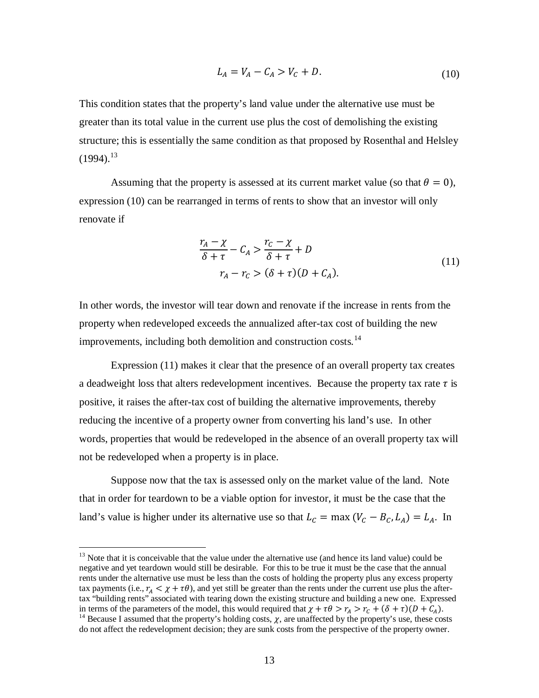<span id="page-13-0"></span>
$$
L_A = V_A - C_A > V_C + D.
$$
 (10)

This condition states that the property's land value under the alternative use must be greater than its total value in the current use plus the cost of demolishing the existing structure; this is essentially the same condition as that proposed by Rosenthal and Helsley  $(1994).^{13}$  $(1994).^{13}$  $(1994).^{13}$ 

Assuming that the property is assessed at its current market value (so that  $\theta = 0$ ), expression [\(10\)](#page-13-0) can be rearranged in terms of rents to show that an investor will only renovate if

$$
\frac{r_A - \chi}{\delta + \tau} - C_A > \frac{r_C - \chi}{\delta + \tau} + D
$$
\n
$$
r_A - r_C > (\delta + \tau)(D + C_A). \tag{11}
$$

In other words, the investor will tear down and renovate if the increase in rents from the property when redeveloped exceeds the annualized after-tax cost of building the new improvements, including both demolition and construction costs. $14$ 

Expression (11) makes it clear that the presence of an overall property tax creates a deadweight loss that alters redevelopment incentives. Because the property tax rate  $\tau$  is positive, it raises the after-tax cost of building the alternative improvements, thereby reducing the incentive of a property owner from converting his land's use. In other words, properties that would be redeveloped in the absence of an overall property tax will not be redeveloped when a property is in place.

Suppose now that the tax is assessed only on the market value of the land. Note that in order for teardown to be a viable option for investor, it must be the case that the land's value is higher under its alternative use so that  $L_c = \max (V_c - B_c, L_A) = L_A$ . In

<span id="page-13-1"></span> $13$  Note that it is conceivable that the value under the alternative use (and hence its land value) could be negative and yet teardown would still be desirable. For this to be true it must be the case that the annual rents under the alternative use must be less than the costs of holding the property plus any excess property tax payments (i.e.,  $r_A < \chi + \tau \theta$ ), and yet still be greater than the rents under the current use plus the aftertax "building rents" associated with tearing down the existing structure and building a new one. Expressed in terms of the parameters of the model, this would required that  $\chi + \tau \theta > r_a > r_c + (\delta + \tau)(D + C_a)$ .

<span id="page-13-2"></span><sup>&</sup>lt;sup>14</sup> Because I assumed that the property's holding costs,  $\chi$ , are unaffected by the property's use, these costs do not affect the redevelopment decision; they are sunk costs from the perspective of the property owner.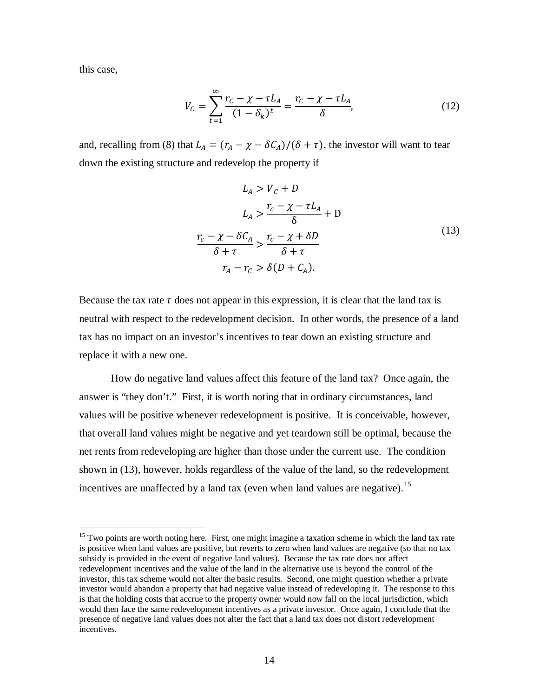this case,

$$
V_C = \sum_{t=1}^{\infty} \frac{r_C - \chi - \tau L_A}{(1 - \delta_k)^t} = \frac{r_C - \chi - \tau L_A}{\delta},
$$
(12)

and, recalling from [\(8\)](#page-10-3) that  $L_A = (r_A - \chi - \delta C_A)/(\delta + \tau)$ , the investor will want to tear down the existing structure and redevelop the property if

<span id="page-14-0"></span>
$$
L_A > V_c + D
$$
  
\n
$$
L_A > \frac{r_c - \chi - \tau L_A}{\delta} + D
$$
  
\n
$$
\frac{r_c - \chi - \delta C_A}{\delta + \tau} > \frac{r_c - \chi + \delta D}{\delta + \tau}
$$
  
\n
$$
r_A - r_C > \delta (D + C_A).
$$
  
\n(13)

Because the tax rate  $\tau$  does not appear in this expression, it is clear that the land tax is neutral with respect to the redevelopment decision. In other words, the presence of a land tax has no impact on an investor's incentives to tear down an existing structure and replace it with a new one.

How do negative land values affect this feature of the land tax? Once again, the answer is "they don't." First, it is worth noting that in ordinary circumstances, land values will be positive whenever redevelopment is positive. It is conceivable, however, that overall land values might be negative and yet teardown still be optimal, because the net rents from redeveloping are higher than those under the current use. The condition shown in [\(13\),](#page-14-0) however, holds regardless of the value of the land, so the redevelopment incentives are unaffected by a land tax (even when land values are negative).<sup>[15](#page-14-1)</sup>

<span id="page-14-1"></span><sup>&</sup>lt;sup>15</sup> Two points are worth noting here. First, one might imagine a taxation scheme in which the land tax rate is positive when land values are positive, but reverts to zero when land values are negative (so that no tax subsidy is provided in the event of negative land values). Because the tax rate does not affect redevelopment incentives and the value of the land in the alternative use is beyond the control of the investor, this tax scheme would not alter the basic results. Second, one might question whether a private investor would abandon a property that had negative value instead of redeveloping it. The response to this is that the holding costs that accrue to the property owner would now fall on the local jurisdiction, which would then face the same redevelopment incentives as a private investor. Once again, I conclude that the presence of negative land values does not alter the fact that a land tax does not distort redevelopment incentives.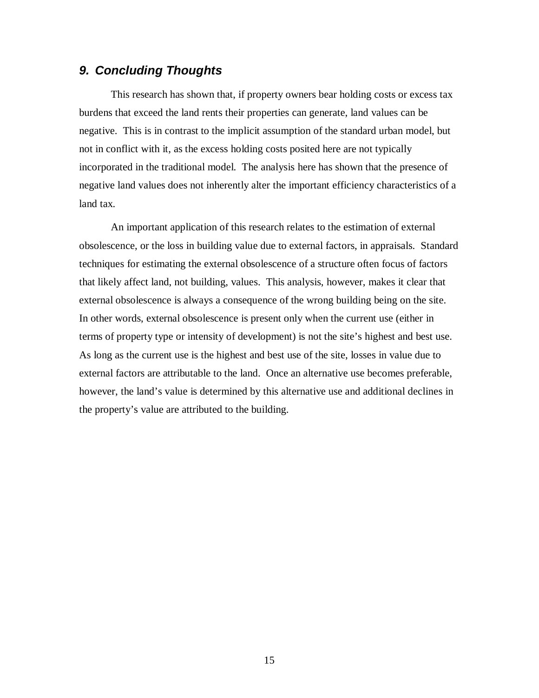## *9. Concluding Thoughts*

This research has shown that, if property owners bear holding costs or excess tax burdens that exceed the land rents their properties can generate, land values can be negative. This is in contrast to the implicit assumption of the standard urban model, but not in conflict with it, as the excess holding costs posited here are not typically incorporated in the traditional model. The analysis here has shown that the presence of negative land values does not inherently alter the important efficiency characteristics of a land tax.

An important application of this research relates to the estimation of external obsolescence, or the loss in building value due to external factors, in appraisals. Standard techniques for estimating the external obsolescence of a structure often focus of factors that likely affect land, not building, values. This analysis, however, makes it clear that external obsolescence is always a consequence of the wrong building being on the site. In other words, external obsolescence is present only when the current use (either in terms of property type or intensity of development) is not the site's highest and best use. As long as the current use is the highest and best use of the site, losses in value due to external factors are attributable to the land. Once an alternative use becomes preferable, however, the land's value is determined by this alternative use and additional declines in the property's value are attributed to the building.